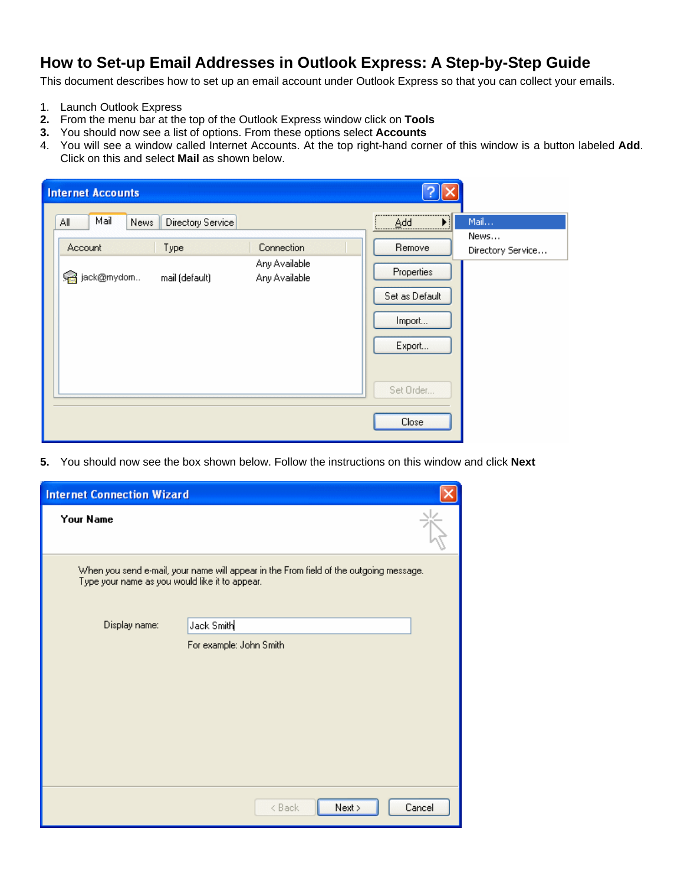## **How to Set-up Email Addresses in Outlook Express: A Step-by-Step Guide**

This document describes how to set up an email account under Outlook Express so that you can collect your emails.

- 1. Launch Outlook Express
- **2.** From the menu bar at the top of the Outlook Express window click on **Tools**
- **3.** You should now see a list of options. From these options select **Accounts**
- 4. You will see a window called Internet Accounts. At the top right-hand corner of this window is a button labeled **Add**. Click on this and select **Mail** as shown below.

| <b>Internet Accounts</b>                                                                                                                            |                                                                         |                                   |
|-----------------------------------------------------------------------------------------------------------------------------------------------------|-------------------------------------------------------------------------|-----------------------------------|
| Mail<br>News<br>ΑI<br><b>Directory Service</b><br>Connection<br>Type<br>Account<br>Any Available<br>a jack@mydom<br>mail (default)<br>Any Available | Remove<br>Properties<br>Set as Default<br>Import<br>Export<br>Set Order | Mail<br>News<br>Directory Service |
|                                                                                                                                                     | Close                                                                   |                                   |

**5.** You should now see the box shown below. Follow the instructions on this window and click **Next** 

| <b>Internet Connection Wizard</b>                                                                                                        |                         |        |  |
|------------------------------------------------------------------------------------------------------------------------------------------|-------------------------|--------|--|
| Your Name                                                                                                                                |                         |        |  |
| When you send e-mail, your name will appear in the From field of the outgoing message.<br>Type your name as you would like it to appear. |                         |        |  |
| Display name:                                                                                                                            | Jack Smith              |        |  |
|                                                                                                                                          | For example: John Smith |        |  |
|                                                                                                                                          | Next ><br>< Back        | Cancel |  |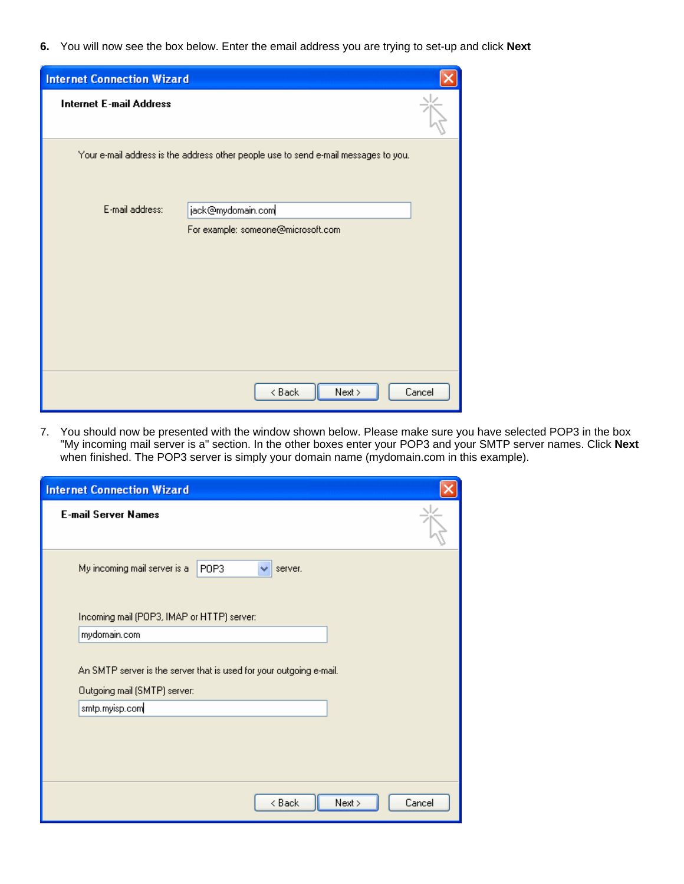**6.** You will now see the box below. Enter the email address you are trying to set-up and click **Next** 

| <b>Internet Connection Wizard</b> |                                                                                     |        |
|-----------------------------------|-------------------------------------------------------------------------------------|--------|
| <b>Internet E-mail Address</b>    |                                                                                     |        |
|                                   | Your e-mail address is the address other people use to send e-mail messages to you. |        |
| E-mail address:                   | jack@mydomain.com                                                                   |        |
|                                   | For example: someone@microsoft.com                                                  |        |
|                                   |                                                                                     |        |
|                                   |                                                                                     |        |
|                                   |                                                                                     |        |
|                                   |                                                                                     |        |
|                                   |                                                                                     |        |
|                                   |                                                                                     |        |
|                                   | Next ><br>< Back                                                                    | Cancel |

7. You should now be presented with the window shown below. Please make sure you have selected POP3 in the box "My incoming mail server is a" section. In the other boxes enter your POP3 and your SMTP server names. Click **Next** when finished. The POP3 server is simply your domain name (mydomain.com in this example).

| <b>Internet Connection Wizard</b>                                                                   |        |
|-----------------------------------------------------------------------------------------------------|--------|
| <b>E-mail Server Names</b>                                                                          |        |
| My incoming mail server is a<br>POP3<br>server.                                                     |        |
| Incoming mail (POP3, IMAP or HTTP) server:                                                          |        |
| mydomain.com                                                                                        |        |
| An SMTP server is the server that is used for your outgoing e-mail.<br>Outgoing mail (SMTP) server: |        |
| smtp.myisp.com                                                                                      |        |
|                                                                                                     |        |
| Next ><br>< Back                                                                                    | Cancel |